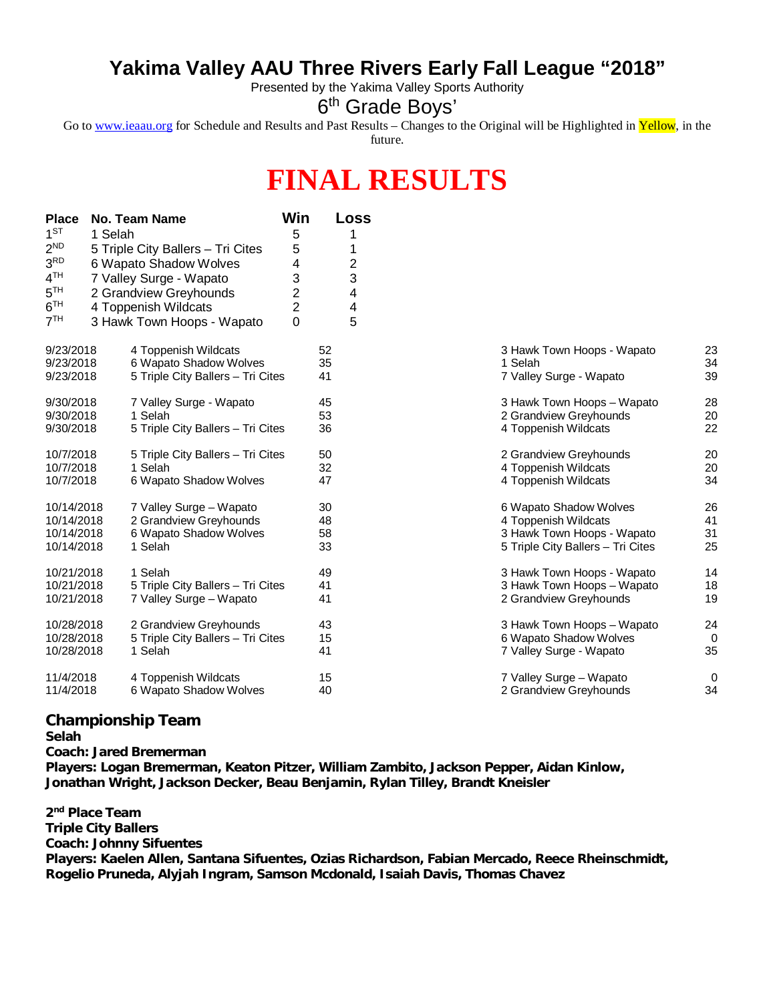## **Yakima Valley AAU Three Rivers Early Fall League "2018"**

Presented by the Yakima Valley Sports Authority

## 6<sup>th</sup> Grade Boys'

Go to [www.ieaau.org](http://www.ieaau.org) for Schedule and Results and Past Results – Changes to the Original will be Highlighted in Yellow, in the future.

## **FINAL RESULTS**

| <b>Place</b>    |         | <b>No. Team Name</b>              | Win            | Loss |                                   |    |
|-----------------|---------|-----------------------------------|----------------|------|-----------------------------------|----|
| $1^{ST}$        | 1 Selah |                                   | 5              |      |                                   |    |
| 2 <sup>ND</sup> |         | 5 Triple City Ballers - Tri Cites | 5              | 1    |                                   |    |
| 3 <sup>RD</sup> |         | 6 Wapato Shadow Wolves            | 4              | 2    |                                   |    |
| 4 <sup>TH</sup> |         | 7 Valley Surge - Wapato           | 3              | 3    |                                   |    |
| 5 <sup>TH</sup> |         | 2 Grandview Greyhounds            | $\overline{2}$ | 4    |                                   |    |
| 6 <sup>TH</sup> |         | 4 Toppenish Wildcats              | $\overline{2}$ | 4    |                                   |    |
| 7 <sup>TH</sup> |         | 3 Hawk Town Hoops - Wapato        | 0              | 5    |                                   |    |
| 9/23/2018       |         | 4 Toppenish Wildcats              |                | 52   | 3 Hawk Town Hoops - Wapato        | 23 |
| 9/23/2018       |         | 6 Wapato Shadow Wolves            |                | 35   | 1 Selah                           | 34 |
| 9/23/2018       |         | 5 Triple City Ballers - Tri Cites |                | 41   | 7 Valley Surge - Wapato           | 39 |
| 9/30/2018       |         | 7 Valley Surge - Wapato           |                | 45   | 3 Hawk Town Hoops - Wapato        | 28 |
| 9/30/2018       |         | 1 Selah                           |                | 53   | 2 Grandview Greyhounds            | 20 |
| 9/30/2018       |         | 5 Triple City Ballers - Tri Cites |                | 36   | 4 Toppenish Wildcats              | 22 |
| 10/7/2018       |         | 5 Triple City Ballers - Tri Cites |                | 50   | 2 Grandview Greyhounds            | 20 |
| 10/7/2018       |         | 1 Selah                           |                | 32   | 4 Toppenish Wildcats              | 20 |
| 10/7/2018       |         | 6 Wapato Shadow Wolves            |                | 47   | 4 Toppenish Wildcats              | 34 |
| 10/14/2018      |         | 7 Valley Surge - Wapato           |                | 30   | 6 Wapato Shadow Wolves            | 26 |
| 10/14/2018      |         | 2 Grandview Greyhounds            |                | 48   | 4 Toppenish Wildcats              | 41 |
| 10/14/2018      |         | 6 Wapato Shadow Wolves            |                | 58   | 3 Hawk Town Hoops - Wapato        | 31 |
| 10/14/2018      |         | 1 Selah                           |                | 33   | 5 Triple City Ballers - Tri Cites | 25 |
| 10/21/2018      |         | 1 Selah                           |                | 49   | 3 Hawk Town Hoops - Wapato        | 14 |
| 10/21/2018      |         | 5 Triple City Ballers - Tri Cites |                | 41   | 3 Hawk Town Hoops - Wapato        | 18 |
| 10/21/2018      |         | 7 Valley Surge - Wapato           |                | 41   | 2 Grandview Greyhounds            | 19 |
| 10/28/2018      |         | 2 Grandview Greyhounds            |                | 43   | 3 Hawk Town Hoops - Wapato        | 24 |
| 10/28/2018      |         | 5 Triple City Ballers - Tri Cites |                | 15   | 6 Wapato Shadow Wolves            | 0  |
| 10/28/2018      |         | 1 Selah                           |                | 41   | 7 Valley Surge - Wapato           | 35 |
| 11/4/2018       |         | 4 Toppenish Wildcats              |                | 15   | 7 Valley Surge - Wapato           | 0  |
| 11/4/2018       |         | 6 Wapato Shadow Wolves            |                | 40   | 2 Grandview Greyhounds            | 34 |

| 3 Hawk Town Hoops - Wapato<br>1 Selah<br>7 Valley Surge - Wapato                                                  | 23<br>34<br>39       |
|-------------------------------------------------------------------------------------------------------------------|----------------------|
| 3 Hawk Town Hoops - Wapato<br>2 Grandview Greyhounds<br>4 Toppenish Wildcats                                      | 28<br>20<br>22       |
| 2 Grandview Greyhounds<br>4 Toppenish Wildcats<br>4 Toppenish Wildcats                                            | 20<br>20<br>34       |
| 6 Wapato Shadow Wolves<br>4 Toppenish Wildcats<br>3 Hawk Town Hoops - Wapato<br>5 Triple City Ballers - Tri Cites | 26<br>41<br>31<br>25 |
| 3 Hawk Town Hoops - Wapato<br>3 Hawk Town Hoops - Wapato<br>2 Grandview Greyhounds                                | 14<br>18<br>19       |
| 3 Hawk Town Hoops - Wapato<br>6 Wapato Shadow Wolves<br>7 Valley Surge - Wapato                                   | 24<br>0<br>35        |
| 7 Valley Surge - Wapato<br>2 Grandview Greyhounds                                                                 | 0<br>34              |

## **Championship Team**

**Selah**

**Coach: Jared Bremerman**

**Players: Logan Bremerman, Keaton Pitzer, William Zambito, Jackson Pepper, Aidan Kinlow, Jonathan Wright, Jackson Decker, Beau Benjamin, Rylan Tilley, Brandt Kneisler**

**2 nd Place Team Triple City Ballers Coach: Johnny Sifuentes Players: Kaelen Allen, Santana Sifuentes, Ozias Richardson, Fabian Mercado, Reece Rheinschmidt, Rogelio Pruneda, Alyjah Ingram, Samson Mcdonald, Isaiah Davis, Thomas Chavez**